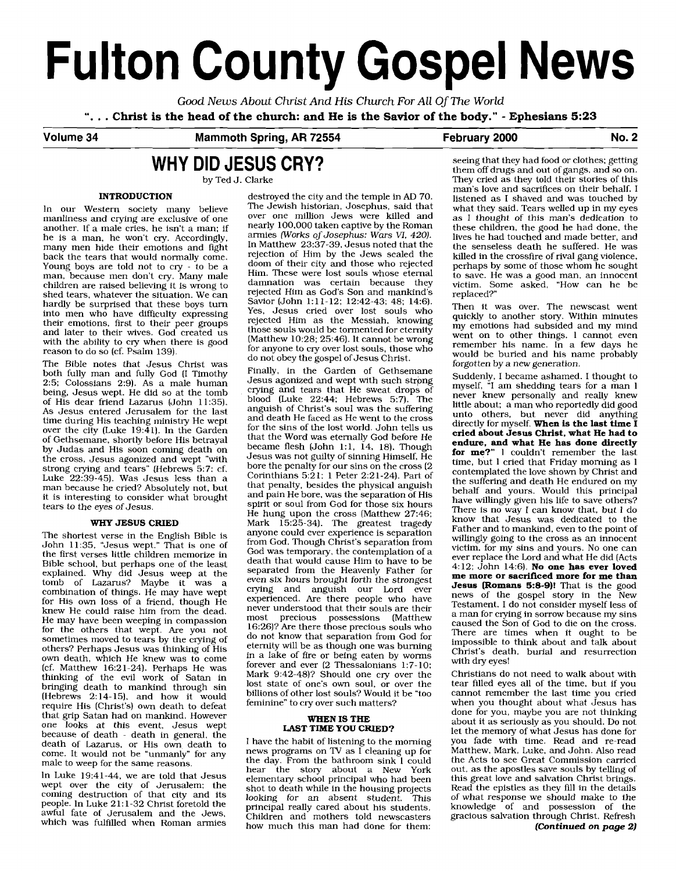# **Fulton County Gospel News**

*Good News About* Christ *And* His Church *For All* Of *The World* ". . . **Christ is the head of the church: and He is the Savior of the body."** - **Ephesians 5:23** 

#### **Volume 34 Mammoth Spring, AR 72554**

#### **:ebruary 2000 No. 2**

# **WHY DID JESUS CRY?**

by Ted J. Clarke

manliness and crying are exclusive of one over one million Jews were killed and<br>another if a male cries he jsn't a man: if a nearly 100,000 taken captive by the Roman another, If a male cries, he isn't a man; if he is a man, he won't cry. Accordingly, many men hide their emotions and fight In Matthew 23:37-39, Jesus noted that the hack the tears that would pormally come back the tears that would normally come.<br>Young boys are told not to cry - to be a man, because men don't cry. Many male children are raised believing it is wrong to shed tears, whatever the situation. We can rejected Him as God's Son and mankind's hardly be surprised that these boys turn hardly be surprised that these boys turn Savior (John 1:11-12; 12:42-43; 48; 14:6).<br>into men who have difficulty expressing Yes, Jesus cried over lost souls who into men who have difficulty expressing Yes, Jesus cried over lost souls who their emotions first to their neer groups their emotions, first to their peer groups rejected Him as the Messiah, knowing with the ability to cry when there is good<br>reason to do so (cf. Psalm 139).<br>Free section and the ability to cry when there is good<br>for anyone to cry over lost souls, those who

do not obey the gospel of Jesus Christ.<br>The Bible notes that Jesus Christ was<br>hoth fully man and fully Cod II Timothy Finally, in the Garden of Gethsemane both fully man and fully God (I Timothy Finally, in the Garden of Gethsemane<br>2.5: Colossians 2.9) As a male human Jesus agonized and wept with such strong 2:5; Colossians 2:9). As a male human desus agonized and wept with such strong<br>being Jesus went. He did so at the tomb crying and tears that He sweat drops of being, Jesus wept. He did so at the tomb and tears that He sweat drops of His dear friend Lazarus (John 11:35) blood (Luke 22:44; Hebrews 5:7). The of His dear friend Lazarus (John 11:35).  $\frac{A}{2}$  and  $\frac{A}{2}$  anguish of Christ's soul was the suffering  $\frac{A}{2}$  anguish of Christ's soul was the suffering time during His teaching ministry He went and death He faced as He went to the cross time during His teaching ministry He wept and death He faced as He went to the cross<br>over the city (Luke 19:41) In the Carden for the sins of the lost world. John tells us over the city (Luke 19:41). In the Garden for the sins of the lost world. John tells us<br>of Gethermane, shortly before His betroval that the Word was eternally God before He of Gethsemane, shortly before His betrayal that the Word was eternally God before He<br>by Judas and His soon coming death on became flesh (John 1:1, 14, 18). Though by Judas and His soon coming death on became flesh (John 1:1, 14, 18). Though<br>the cross Jesus agonized and went "with Jesus was not guilty of sinning Himself, He the cross, Jesus agonized and wept "with desus was not guilty of sinning Himself, He<br>strong enving and tears" (Hebrews 5.7: of bore the penalty for our sins on the cross (2) strong crying and tears" (Hebrews 5:7: cf, bore the penalty for our sins on the cross (2<br>Luke 22:39-45) Was Jesus Jess than a Corinthians 5:21: 1 Peter 2:21-24). Part of Luke  $22:39-45$ ), Was Jesus less than a Corinthians 5:21: 1 Peter 2:21-24). Part of man because he cried? Absolutely not but that penalty, besides the physical anguish man because he cried? Absolutely not, but that penalty, besides the physical anguish<br>it is interesting to consider what brought and pain He bore, was the separation of His it is interesting to consider what brought tears to the eyes of Jesus.

The shortest verse in the English Bible is anyone could ever experience is separation from Lohn 11.35 ". Less went " That is one of from God. Though Christ's separation from  $\frac{11:35}{11:35}$ , "Jesus wept," That is one of from God. Though Christ's separation from the first verses little children memorize in God was temporary, the contemplation of a the first verses little children memorize in God was temporary, the contemplation of a<br>Bible school but perhans one of the least death that would cause Him to have to be Bible school, but perhaps one of the least death that would cause Him to have to be<br>explained. Why did Jesus ween at the separated from the Heavenly Father for explained. Why did Jesus weep at the separated from the Heavenly Father for<br>tomb of Lazarus' Maybe it was a seven six hours brought forth the strongest tomb of Lazarus? Maybe it was a even six hours brought forth the strongest<br>combination of things. He may have went crying and anguish our Lord ever combination of things. He may have wept for His own loss of a friend, though He for His own loss of a friend, though He experienced. Are there people who have<br>knew He could raise him from the dead, never understood that their souls are their here has been weeping in compassion<br>He may have been weeping in compassion<br> $\frac{1}{2}$  has the may have been weeping in compassion<br> $\frac{1}{2}$  has the matter that the arguments and the theory of the theory of the matter that t for the others that wept. Are you not  $16:26$ ? Are there those precious souls who sometimes moved to tears by the crying of do not know that separation from God for sometimes moved to tears by the crying of do not know that separation from God for others? Bethouse Jesus was thinking of His eternity will be as though one was burning others? Perhaps Jesus was thinking of His own death, which He knew was to come others? Perhaps Jesus was ununuity of this<br>own death, which He knew was to come in a lake of fire or being eaten by worms<br>(cf. Matthew 16:21-24). Perhaps He was forever and ever (2 Thessalonians 1:7-10; thinking of the evil work of Satan in Mark  $9.42-48$ ? Should one cry over the bringing death to mankind through  $\sin$  lost state of one's own soul, or over the bringing death to mankind through sin<br>(Hebrews, 2:14-15) and how it would billions of other lost souls? Would it be "too ( $Hebrews$  2:14-15), and how it would billions of other lost souls? Would if require His (Christ's) own death to defeat feminine" to cry over such matters? require His (Christ's) own death to defeat that grip Satan had on mankind. However one looks at this event, Jesus wept because of death - death in general, the **LAST TIME YOU CRIED**:<br>death of Lazarus, or His own death to **Last Last United** I have the habit of listening to the morning death of Lazarus, or His own death to I have the habit of listening to the morning come. It would not be "unmanly" for any news programs on TV as I cleaning up for

hear the story about a New York line story about a New York line wept over the city of Jerusalem; the stort to death while in the housing projects wept over the city of Jerusalem; the shot to death while in the housing projects coming destruction of that city and its looking for an absent student. This people. In Luke 21:1-32 Christ foretold the principal really cared about his students, interested about his students, and mothers told neuroscates awful fate of Jerusalem and the Jews, children and mothers told newscasters which was fulfilled when Roman armies

**INTRODUCTION destroyed the city and the temple in AD 70.** In our Western society many believe The Jewish historian, Josephus, said that manliness and crying are exclusive of one over one million Jews were killed and he is a matrice is a matrice is a matrice when the same is a matrice in Matthew 23:37-39, Jesus noted that the doom of their city and those who rejected<br>Him. These were lost souls whose eternal damnation was certain because they rejected Him as God's Son and mankind's and later to their wives, God created us those souls would be tormented for eternity for anyone to cry over lost souls, those who

> spirit or soul from God for those six hours He hung upon the cross (Matthew 27:46; **WHY JESUS CRIED** Mark 15:25-34). The greatest tragedy anyone could ever experience is separation most precious possessions (Matthew 16:26)? Are there those precious souls who forever and ever  $(2$  Thessalonians 1:7-10;<br>Mark 9:42-48)? Should one cry over the

## **WHEN IS THE LAST TIME YOU CRIED?**

male to weep for the same reasons.<br>
The day. From the bathroom sink 1 could have to weep for the same reasons.<br>
The day. From the bathroom sink 1 could hear the story about a New York how much this man had done for them: seeing that they had food or clothes; getting them off drugs and out of gangs, and so on. They cried as they told their stories of this man's love and sacrifices on their behalf. I listened as I shaved and was touched by what they said. Tears welled up in my eyes as I thought of this man's dedication to these children, the good he had done, the lives he had touched and made better, and the senseless death he suffered. He was killed in the crossfire of rival gang violence, perhaps by some of those whom he sought to save. He was a good man, an innocent victim. Some asked, "How can he be replaced?"

Then it was over. The newscast went quickly to another story. Within minutes my emotions had subsided and my mind went on to other things. I cannot even remember his name. In a few days he would be buried and his name probably forgotten by a new generation.

Suddenly, I became ashamed. I thought to myself, "I am shedding tears for a man 1 never knew personally and really knew little about; a man who reportedly did good unto others, but never did anything directly for myself. **When is the last time I cried about Jesus Christ, what He had to endure, and what He has done directly for me?"** 1 couldn't remember the last time, but 1 cried that Friday morning as 1 contemplated the love shown by Christ and the suffering and death He endured on my behalf and yours. Would this principal have willingly given his life to save others? There is no way I can know that, but 1 do know that Jesus was dedicated to the Father and to mankind, even to the point of willingly going to the cross as an innocent victim, for my sins and yours. No one can ever replace the Lord and what He did (Acts 4:12; John 14:6). **No one has ever loved me more or sacrificed more for me than Jesus (Romans 5:s-9)!** That is the good news of the gospel story in the New Testament. I do not consider myself less of a man for crying in sorrow because my sins caused the Son of God to die on the cross. There are times when it ought to be impossible to think about and talk about Christ's death, burial and resurrection with dry eyes!

Christians do not need to walk about with tear filled eyes all of the time, but if you cannot remember the last time you cried when you thought about what Jesus has done for you, maybe you are not thinking about it as seriously as you should. Do not let the memory of what Jesus has done for you fade with time. Read and re-read Matthew, Mark, Luke, and John. Also read the Acts to see Great Commission carried out, as the apostles save souls by telling of this great love and salvation Christ brings. Read the epistles as they fill in the details of what response we should make to the knowledge of and possession of the gracious salvation through Christ. Refresh **(Continued on** *page* **2)**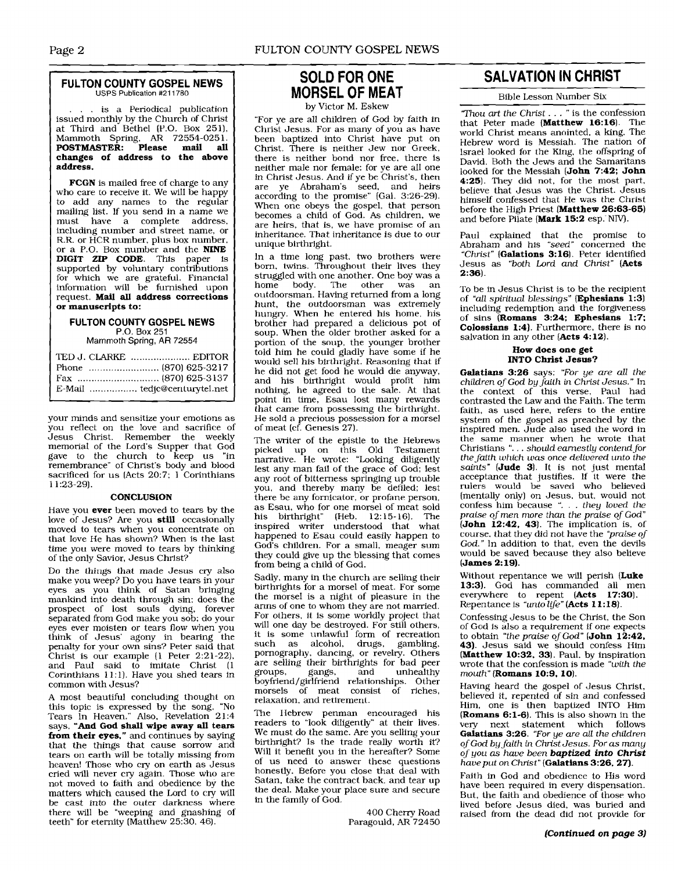#### **FULTON COUNTY GOSPEL NEWS**  USPS Publication #211780

is a Periodical publication issued monthly by the Church of Christ at Third and Bethel (P.O. Box 251), Mammoth Spring, **AR** 72554-025 1. **POSTMASTER: Please mail all changes of address to the above address.** 

**FCGN** is mailed free of charge to any who care to receive it. We will be happy to add any names to the regular mailing list. If you send in a name we must have a complete address. including number and street name, or R.R. or HCR number, plus box number, or a P.O. Box number and the **NINE DIGIT** ZIP **CODE.** This paper is supported by voluntary contributions for which we are grateful. Financial information will be furnished upon request. **Mail all address corrections or manuscripts to:** 

#### **FULTON COUNTY GOSPEL NEWS**  P.O. Box 251

Mammoth **Spring, AR** 72554

| TED J. CLARKE  EDITOR |  |
|-----------------------|--|
|                       |  |
|                       |  |
|                       |  |

your minds and sensitize your emotions as you reflect on the love and sacrifice of Jesus Christ. Remember the weekly memorial of the Lord's Supper that God gave to the church to keep us "in remembrance" of Christ's bodv and blood sacrificed for us  $(Acts 20:7; 1$  Corinthians 1 1 :23-29).

#### **CONCLUSION**

Have you **ever** been moved to tears by the love of Jesus? Are you **still** occasionally moved to tears when you concentrate on that love He has shown? When is the last time you were moved to tears by thinking of the only Savior, Jesus Christ?

Do the things that made Jesus cry also make you weep? Do you have tears in your eyes as you think of Satan bringing mankind into death through sin: does the prospect of lost souls dying, forever separated from God make you sob; do your eyes ever moisten or tears flow when you think of Jesus' agony in bearing the penalty for your own sins? Peter said that Christ is our example (1 Peter 2:21-22). and Paul said to imitate Christ (1 Corinthians 11:l). Have you shed tears in common with Jesus?

A most beautiful concluding thought on this topic is expressed by the song, "No Tears In Heaven." Also, Revelation 21:4 says, **"And God shall wipe away all tears from their eyes,"** and continues by saying that the things that cause sorrow and tears on earth will be totally missing from heaven! Those who cry on earth as Jesus cried will never cry again. Those who are not moved to faith and obedience by the matters which caused the Lord to cry will be cast into the outer darkness where there will be "weeping and gnashing of teeth" for eternity (Matthew 25:30, 46).

## **SOLD FOR ONE MORSEL OF MEAT**

by Victor M. Eskew

"For ye are all children of God by faith in Christ Jesus. For as many of you as have been baptized into Christ have put on Christ. There is neither Jew nor Greek, there is neither bond nor free, there is neither male nor female: for ye are all one in Christ Jesus. And if ye be Christ's, then are ye Abraham's seed. and heirs according to the promise" (Gal. 3:26-29). When one obeys the gospel, that person becomes a child of God. As children, we are heirs, that is, we have promise of an inheritance. That inheritance is due to our unique birthright.

In a time long past. two brothers were born, twins. Throughout their lives they struggled with one another. One boy was a home body. The other was an outdoorsman. Having returned from a long hunt, the outdoorsman was extremely hungry. When he entered his home, his brother had prepared a delicious pot of soup. When the older brother asked for a portion of the soup, the younger brother told him he could gladly have some if he would sell his birthright. Reasoning that if he did not get food he would die anyway, and his birthright would profit him nothing, he agreed to the sale. At that point in time, Esau lost many rewards that came from possessing the birthright. He sold a precious possession for a morsel of meat (cf. Genesis 27).

The writer of the epistle to the Hebrews picked up on this Old Testament narrative. He wrote: "Looking diligently lest any man fail of the grace of God; lest any root of bitterness springing up trouble you, and thereby many be defiled; lest there be any fornicator, or profane person, as Esau, who for one morsel of meat sold his birthright" (Heb. 12:15-16). The inspired writer understood that what happened to Esau could easily happen to God's children. For a small, meager sum they could give up the blessing that comes from being a child of God.

Sadly, many in the church are selling their birthrights for a morsel of meat. For some the morsel is a night of pleasure in the arms of one to whom they are not married. For others, it is some worldly project that will one day be destroyed. For still others, it is some unlawful form of recreation such as alcohol, drugs, gambling, pornography, dancing, or revelry. Others are selling their birthrights for bad peer<br>groups. gangs. and unhealthy groups, gangs, and unhealthy boyfriend/girlfriend relationships. Other morsels of meat consist of riches, relaxation, and retirement.

The IIebrew penman encouraged his readers to "look diligently" at their lives. We must do the same. Are you selling your birthright? Is the trade really worth it? Will it benefit you in the hereafter? Some of us need to answer these questions honestly. Before you close that deal with Satan, take the contract back, and tear up the deal. Make your place sure and secure in the family of God.

> 400 Cheny Road Paragould, **AR** 72450

# ~~~~~ - **SALVATION IN CHRIST**

Bible Lesson Number Six

'mou **art** the Christ. .. " is the confession that Peter made **(Matthew** 16:16). The world Christ means anointed, a king. The Hebrew word is Messiah. The nation of lsrael looked for the King, the offspring of David. Both the Jews and the Samaritans looked for the Messiah **(John** 7:42; **John**  4:25). They did not, for the most part, believe that Jesus was the Christ. Jesus himself confessed that He was the Christ before the High Priest **(Matthew** 26:63-65) and before Pilate **(Mark 15:2** esp. NIV).

Paul explained that the promise to Abraham and his "seed" concerned the "Christ" **(Galations** 3: 16). Peter identified Jesus as "both Lord and Christ" **(Acts**  2:36).

'To be in Jesus Christ is to be the recipient of "dl spiritual blessings" **(Ephesians** 1:3) including redemption and the forgiveness of sins **(Romans 3:24: Ephesians 1:7: Colossians 1:4)**. Furthermore, there is no salvation in any other **(Acts** 4:12).

#### **How does one get INTO Christ Jesus?**

**Galatians** 3:26 says: "For ye are all the children of God by *faith* in Christ Jesus." In the context of this verse, Paul had contrasted the Law and the Faith. The term faith, as used here, refers to the entire system of the gospel as preached by the inspired men. Jude also used the word in the same manner when he wrote that Christians ". . . should earnestly contend for the faith **which was** once delivered unto the saints" **(Jude** 3). It is not just mental acceptance that justifies. If it were the rulers would be saved who believed (mentally only) on Jesus. but, would not confess him because ". . . they loved the praise of men more than the praise of God" **(John** 1242. 43). The implication is, of course, that they did not have the "praise of God." In addition to that, even the devils would be saved because they also believe **(James** 2: 19).

Without repentance we will perish **(Luke**  13:3). God has commanded all men everywhere to repent **(Acts** 17:30). Repentance is "unto life" (Acts 11:18).

Confessing Jesus to be the Christ, the Son of God is also a requirement if one expects to obtain "the praise of God" **(John** 12:42. 43). Jesus said we should confess Hinl **(Matthew** 10:32, 33). Paul, by inspiration wrote that the confession is made "with the mouth" **(Romans** 10:9, 10).

Having heard the gospel of Jesus Christ, believed it, repented of sin and confessed Him, one is then baptized INTO Him **[Romans** 6:l-6). This is also shown in the very next statement which follows **Galatians** 3:26. "For ye are all the children of God by faith in Christ Jesus. For *as* many of you as have been *baptized into Christ*  haveput on Christ" **(Galatians** 3:26. 27).

Faith in God and obedience to His word have been required in every dispensation. But, the faith and obedience of those who lived before Jesus died, was buried and raised from the dead did not provide for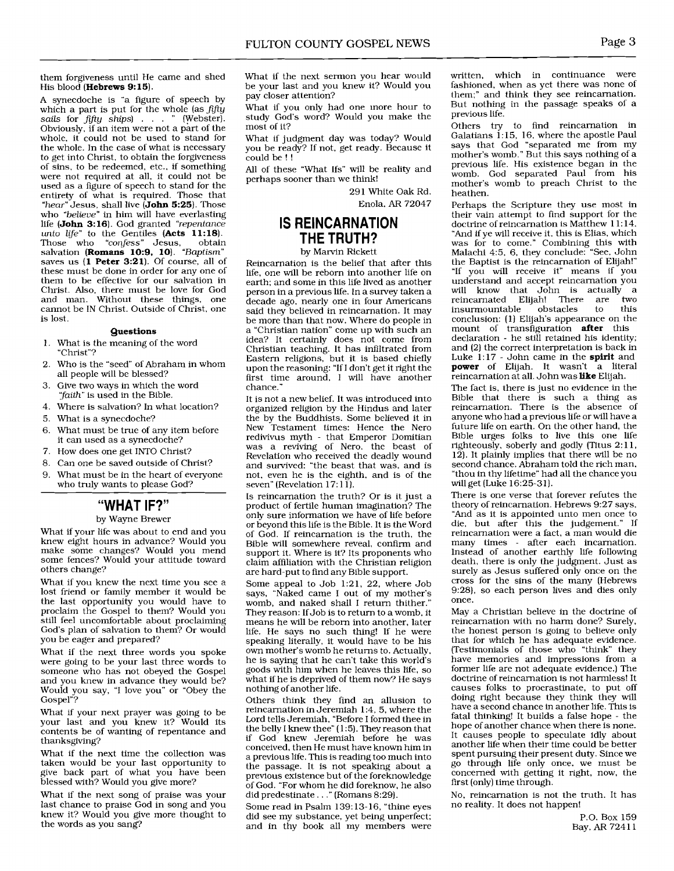them forgiveness until Me came and shed His blood (Hebrews 9:15).

A synecdoche is "a figure of speech by which a part is put for the whole (as fifty sails for fifty ships) . . . " (Webster). Obviously, if an item were not a part of the whole, it could not be used to stand for the whole. In the case of what is necessary to get into Christ, to obtain the forgiveness of sins, to be redeemed, etc., if something were not required at all, it could not be used as a figure of speech to stand for the entirety of what is required. Those that "*hear"* Jesus, shall live (**John 5:25**). Those who "believe" in him will have everlasting life (John 3:16). God granted "repentance" unto life" to the Gentiles  $(Acts'11:18)$ .<br>Those who "confess" Jesus obtain Those who "confess" Jesus, obtain salvation (**Romans 10:9, 10**). "Baptism" saves us (1 Peter 3:21). Of course, all of these must be done in order for any one of them to be effective for our salvation in Christ. Also, there must be love for God and man. Without these things, one cannot be IN Christ. Outside of Christ, one is lost.

#### Questions

- 1. What is the meaning of the word "Christ"?
- 2. Who is the "seed" of Abraham in whom all people will be blessed?
- 3. Give two ways in which the word "faith" is used in the Bible.
- 4. Where is salvation? In what location?
- 5. What is a synecdoche?
- 6. What must be true of any item before
- it can used as a synecdoche?
- 7. How does one get INTO Christ?
- 8. Can one be saved outside of Christ?
- 9. What must be in the heart of everyone who truly wants to please God?

#### **"WHAT IF?''**

#### by Wayne Brewer

What if your life was about to end and you knew eight hours in advance? Would you make some changes? Would you mend some fences? Would your attitude toward others change?

What if you knew the next time you see a lost friend or family member it would be the last opportunity you would have to proclaim the Gospel to them? Would you still feel uncomfortable about proclaiming God's plan of salvation to them? Or would you be eager and prepared?

What if the next three words you spoke were going to be your last three words to someone who has not obeyed the Gospel and you knew in advance they would be? Would you say, "I love you" or "Obey the Gospel"?

What if your next prayer was going to be your last and you knew it? Would its contents be of wanting of repentance and thanksgiving?

What if the next time the collection was taken would be your last opportunity to give back part of what you have been blessed with? Would you give more?

What if the next song of praise was your last chance to praise God in song and you knew it? Would you give more thought to the words as you sang?

What if the next sermon you hear would be your last and you knew it? Would you pay closer attention?

What if you only had one more hour to study God's word? Would you make the most of it?

What if judgment day was today? Would you be ready? If not, get ready. Because it could be ! !

All of these "What Ifs" will be reality and perhaps sooner than we think!

> 291 White Oak Rd. Enola, AR 72047

#### **IS REINCARNATION THE TRUTH?**

#### by Marvin Rickett

Reincarnation is the belief that after this life, one will be reborn into another life on earth; and some in this life lived as another person in a previous life. In a survey taken a decade ago, nearly one in four Americans said they believed in reincarnation. It may be more than that now. Where do people in a "Christian nation" come up with such an idea? It certainly does not come from Christian teaching. It has infiltrated from Eastern religions, but it is based chiefly upon the reasoning: "If I don't get it right the first time around, I will have another chance."

It is not a new belief. It was introduced into organized religion by the Hindus and later the by the Buddhists. Some believed it in New Testament times: Hence the Nero redivivus myth - that Emperor Domitian was a reviving of Nero, the beast of Revelation who received the deadly wound and survived: "the beast that was, and is not, even he is the eighth, and is of the seven" (Revelation 17: 1 1).

Is reincarnation the truth? Or is it just a product of fertile human imagination? The only sure information we have of life before or beyond this life is the Bible. It is the Word of God. If reincarnation is the truth, the Bible will somewhere reveal, confirm and support it. Where is it? Its proponents who claim affiliation with the Christian religion are hard-put to find any Bible support.

Some appeal to Job 1:21, 22, where Job says, "Naked came I out of my mother's womb, and naked shall I return thither." They reason: If Job is to return to a womb, it means he will be reborn into another, later life. He says no such thing! If he were speaking literally, it would have to be his own mother's womb he returns to. Actually, he is saying that he can't take this world's goods with him when he leaves this life, so what if he is deprived of them now? He says nothing of another life.

Others think they find an allusion to reincarnation in Jeremiah 1 :4, 5, where the Lord tells Jeremiah, "Before I formed thee in the belly I knew thee" (1:5). They reason that if God knew Jeremiah before he was conceived, then He must have known him in a previous life. This is reading too much into the passage. It is not speaking about a previous existence but of the foreknowledge of God. "For whom he did foreknow, he also did predestinate. . ." (Romans 8:29).

Some read in Psalm 139: 13- 16, "thine eyes did see my substance, yet being unperfect; and in thy book all my members were written, which in continuance were fashioned, when as yet there was none of them:" and think they see reincarnation. But nothing in the passage speaks of a previous life.

Others try to find reincarnation in Galatians 1: 15, 16, where the apostle Paul says that God "separated me from my mother's womb." But this says nothing of a previous life. His existence began in the womb. God separated Paul from his mother's womb to preach Christ to the heathen.

Perhaps the Scripture they use most in their vain attempt to find support for the doctrine of reincarnation is Matthew 11:14. "And if ye will receive it, this is Elias, which was for to come." Combining this with Malachi 4:5, 6, they conclude: "See, John the Baptist is the reincarnation of Elijah!" "If you will receive it" means if you understand and accept reincarnation you will know that John is actually a reincarnated Elijah! There are two insurmountable conclusion: (1) Elijah's appearance on the mount of transfiguration **after** this declaration - he still retained his identity; and (2) the correct interpretation is back in Luke 1:17 - John came in the spirit and power of Elijah. It wasn't a literal reincarnation at all. John was like Elijah.

The fact is, there is just no evidence in the Bible that there is such a thing as reincarnation. There is the absence of anyone who had a previous life or will have a future life on earth. On the other hand, the Bible urges folks to live this one life righteously, soberIy and godly (Titus 2: 1 1,  $12$ ). It plainly implies that there will be no second chance. Abraham told the rich man, "thou in thy lifetime" had all the chance you willget (Luke 16:25-31).

There is one verse that forever refutes the theory of reincarnation. Hebrews 9:27 says, "And as it is appointed unto men once to die, but after this the judgement." reincarnation were a fact, a man would die many times - after each incarnation. lnstead of another earthly life following death, there is only the judgment. Just as surely as Jesus suffered only once on the cross for the sins of the many (Hebrews 9:28), so each person lives and dies only once.

May a Christian believe in the doctrine of reincarnation with no harm done? Surely, the honest person is going to believe only that for which he has adequate evidence. (Testimonials of those who "think" they have memories and impressions from a former life are not adequate evidence.) The doctrine of reincarnation is not harmless! It causes folks to procrastinate, to put off doing right because they think they will have a second chance in another life. This is fatal thinking! It builds a false hope - the hope of another chance when there is none. It causes people to speculate idly about another life when their time could be better spent pursuing their present duty. Since we go through life only once, we rnust be concerned with getting it right, now, the first (only) time through.

No, reincarnation is not the truth. It has no reality. It does not happen!

> P.O. Box 159 Bay, AR 7241 1